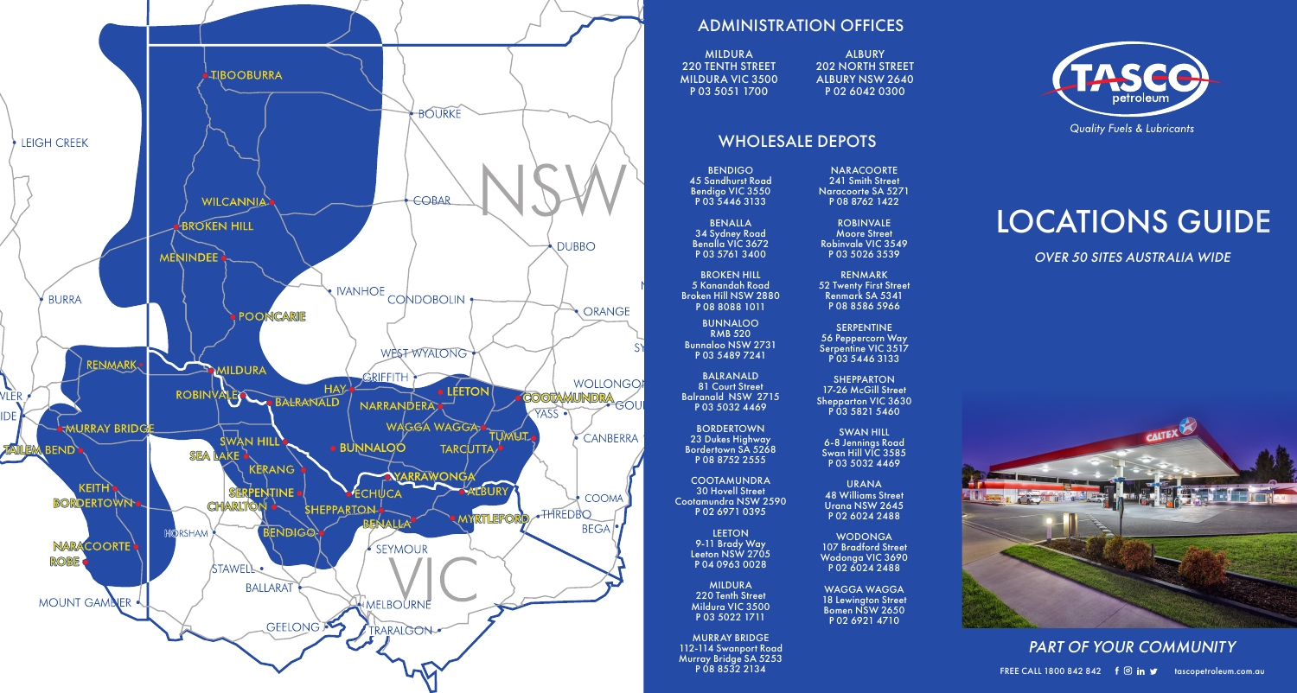

## ADMINISTRATION OFFICES

MILDURA 220 TENTH STREET MILDURA VIC 3500 P 03 5051 1700

ALBURY 202 NORTH STREET ALBURY NSW 2640 P 02 6042 0300

NARACOORTE 241 Smith Street Naracoorte SA 5271 P 08 8762 1422 ROBINVALE Moore Street Robinvale VIC 3549 P 03 5026 3539 RENMARK 52 Twenty First Street Renmark SA 5341 P 08 8586 5966 SERPENTINE 56 Peppercorn Way Serpentine VIC 3517 P 03 5446 3133 SHEPPARTON 17-26 McGill Street Shepparton VIC 3630 P 03 5821 5460 SWAN HILL

### WHOLESALE DEPOTS

BENDIGO 45 Sandhurst Road Bendigo VIC 3550 P 03 5446 3133

BENALLA 34 Sydney Road Benalla VIC 3672 P 03 5761 3400

**BROKEN HILL** 5 Kanandah Road Broken Hill NSW 2880 P 08 8088 1011

BUNNALOO RMB 520 Bunnaloo NSW 2731 P 03 5489 7241

BALRANALD 81 Court Street Balranald NSW 2715 P 03 5032 4469

BORDERTOWN 23 Dukes Highway Bordertown SA 5268 P 08 8752 2555

**COOTAMUNDRA** 30 Hovell Street Cootamundra NSW 2590 P 02 6971 0395

> **LEETON** 9-11 Brady Way Leeton NSW 2705 P 04 0963 0028

MILDURA 220 Tenth Street Mildura VIC 3500 P 03 5022 1711

MURRAY BRIDGE 112-114 Swanport Road Murray Bridge SA 5253 P 08 8532 2134



# LOCATIONS GUIDE

OVER 50 SITES AUSTRALIA WIDE



PART OF YOUR COMMUNITY FREE CALL 1800 842 842  $f \circledcirc$  in  $\blacktriangleright$  tascopetroleum.com.au

6-8 Jennings Road Swan Hill VIC 3585 P 03 5032 4469 URANA 48 Williams Street

Urana NSW 2645 P 02 6024 2488 WODONGA

107 Bradford Street Wodonga VIC 3690 P 02 6024 2488

WAGGA WAGGA 18 Lewington Street Bomen NSW 2650 P 02 6921 4710